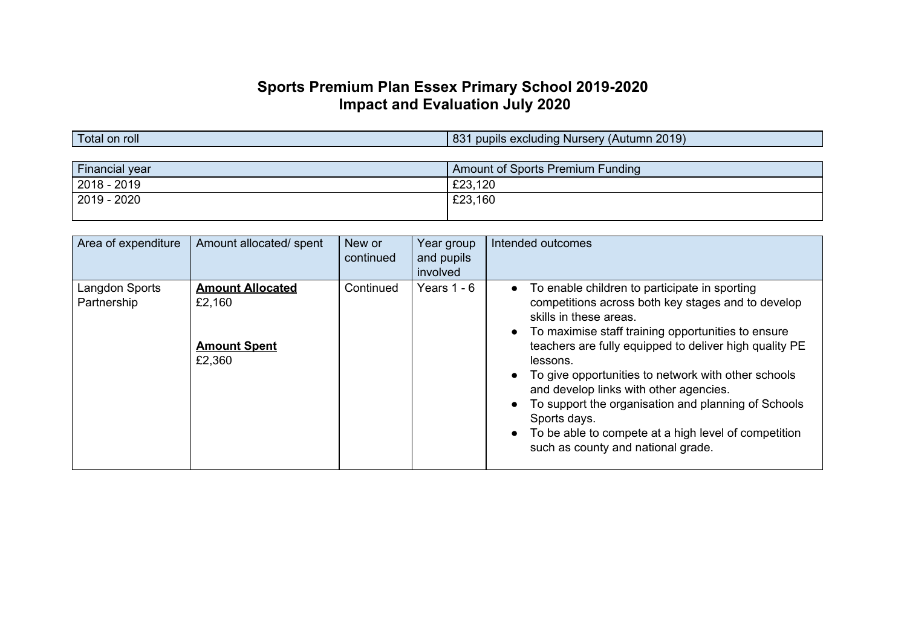# **Sports Premium Plan Essex Primary School 2019-2020 Impact and Evaluation July 2020**

Total on roll **Total on roll** 831 pupils excluding Nursery (Autumn 2019)

| Amount of Sports Premium Funding |
|----------------------------------|
| £23,120                          |
| £23,160                          |
|                                  |

| Area of expenditure           | Amount allocated/ spent                                            | New or<br>continued | Year group<br>and pupils<br>involved | Intended outcomes                                                                                                                                                                                                                                                                                                                                                                                                                                                                                                               |
|-------------------------------|--------------------------------------------------------------------|---------------------|--------------------------------------|---------------------------------------------------------------------------------------------------------------------------------------------------------------------------------------------------------------------------------------------------------------------------------------------------------------------------------------------------------------------------------------------------------------------------------------------------------------------------------------------------------------------------------|
| Langdon Sports<br>Partnership | <b>Amount Allocated</b><br>£2,160<br><b>Amount Spent</b><br>£2,360 | Continued           | Years $1 - 6$                        | To enable children to participate in sporting<br>competitions across both key stages and to develop<br>skills in these areas.<br>To maximise staff training opportunities to ensure<br>teachers are fully equipped to deliver high quality PE<br>lessons.<br>To give opportunities to network with other schools<br>and develop links with other agencies.<br>To support the organisation and planning of Schools<br>Sports days.<br>To be able to compete at a high level of competition<br>such as county and national grade. |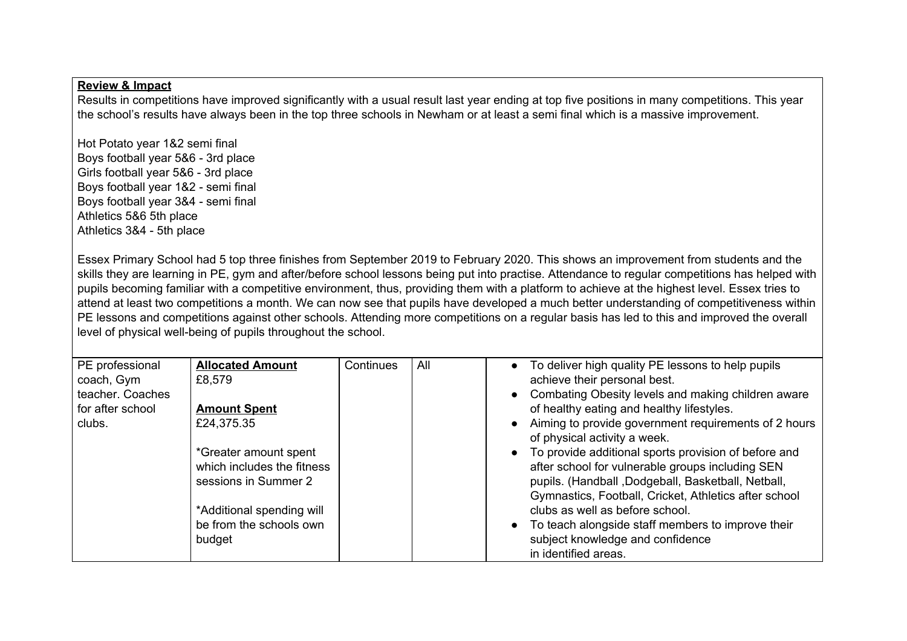Results in competitions have improved significantly with a usual result last year ending at top five positions in many competitions. This year the school's results have always been in the top three schools in Newham or at least a semi final which is a massive improvement.

Hot Potato year 1&2 semi final Boys football year 5&6 - 3rd place Girls football year 5&6 - 3rd place Boys football year 1&2 - semi final Boys football year 3&4 - semi final Athletics 5&6 5th place Athletics 3&4 - 5th place

Essex Primary School had 5 top three finishes from September 2019 to February 2020. This shows an improvement from students and the skills they are learning in PE, gym and after/before school lessons being put into practise. Attendance to regular competitions has helped with pupils becoming familiar with a competitive environment, thus, providing them with a platform to achieve at the highest level. Essex tries to attend at least two competitions a month. We can now see that pupils have developed a much better understanding of competitiveness within PE lessons and competitions against other schools. Attending more competitions on a regular basis has led to this and improved the overall level of physical well-being of pupils throughout the school.

| PE professional<br>coach, Gym | <b>Allocated Amount</b><br>£8.579 | Continues | All | • To deliver high quality PE lessons to help pupils<br>achieve their personal best.    |
|-------------------------------|-----------------------------------|-----------|-----|----------------------------------------------------------------------------------------|
| teacher. Coaches              |                                   |           |     | Combating Obesity levels and making children aware                                     |
| for after school              | <b>Amount Spent</b>               |           |     | of healthy eating and healthy lifestyles.                                              |
| clubs.                        | £24,375.35                        |           |     | • Aiming to provide government requirements of 2 hours<br>of physical activity a week. |
|                               | *Greater amount spent             |           |     | To provide additional sports provision of before and                                   |
|                               | which includes the fitness        |           |     | after school for vulnerable groups including SEN                                       |
|                               | sessions in Summer 2              |           |     | pupils. (Handball, Dodgeball, Basketball, Netball,                                     |
|                               |                                   |           |     | Gymnastics, Football, Cricket, Athletics after school                                  |
|                               | *Additional spending will         |           |     | clubs as well as before school.                                                        |
|                               | be from the schools own           |           |     | To teach alongside staff members to improve their                                      |
|                               | budget                            |           |     | subject knowledge and confidence                                                       |
|                               |                                   |           |     | in identified areas.                                                                   |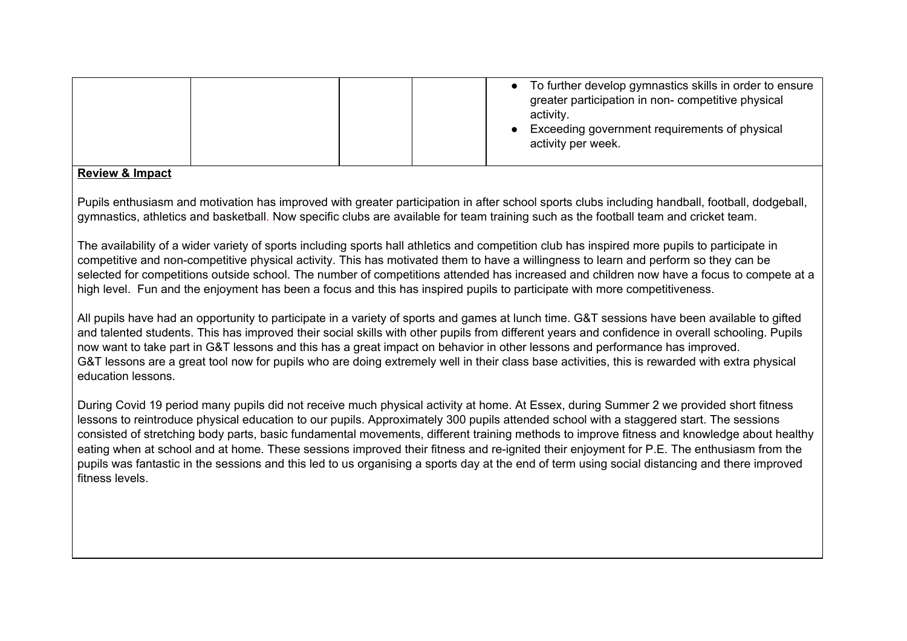|  | To further develop gymnastics skills in order to ensure<br>greater participation in non- competitive physical<br>activity.<br>Exceeding government requirements of physical<br>activity per week. |
|--|---------------------------------------------------------------------------------------------------------------------------------------------------------------------------------------------------|
|--|---------------------------------------------------------------------------------------------------------------------------------------------------------------------------------------------------|

Pupils enthusiasm and motivation has improved with greater participation in after school sports clubs including handball, football, dodgeball, gymnastics, athletics and basketball. Now specific clubs are available for team training such as the football team and cricket team.

The availability of a wider variety of sports including sports hall athletics and competition club has inspired more pupils to participate in competitive and non-competitive physical activity. This has motivated them to have a willingness to learn and perform so they can be selected for competitions outside school. The number of competitions attended has increased and children now have a focus to compete at a high level. Fun and the enjoyment has been a focus and this has inspired pupils to participate with more competitiveness.

All pupils have had an opportunity to participate in a variety of sports and games at lunch time. G&T sessions have been available to gifted and talented students. This has improved their social skills with other pupils from different years and confidence in overall schooling. Pupils now want to take part in G&T lessons and this has a great impact on behavior in other lessons and performance has improved. G&T lessons are a great tool now for pupils who are doing extremely well in their class base activities, this is rewarded with extra physical education lessons.

During Covid 19 period many pupils did not receive much physical activity at home. At Essex, during Summer 2 we provided short fitness lessons to reintroduce physical education to our pupils. Approximately 300 pupils attended school with a staggered start. The sessions consisted of stretching body parts, basic fundamental movements, different training methods to improve fitness and knowledge about healthy eating when at school and at home. These sessions improved their fitness and re-ignited their enjoyment for P.E. The enthusiasm from the pupils was fantastic in the sessions and this led to us organising a sports day at the end of term using social distancing and there improved fitness levels.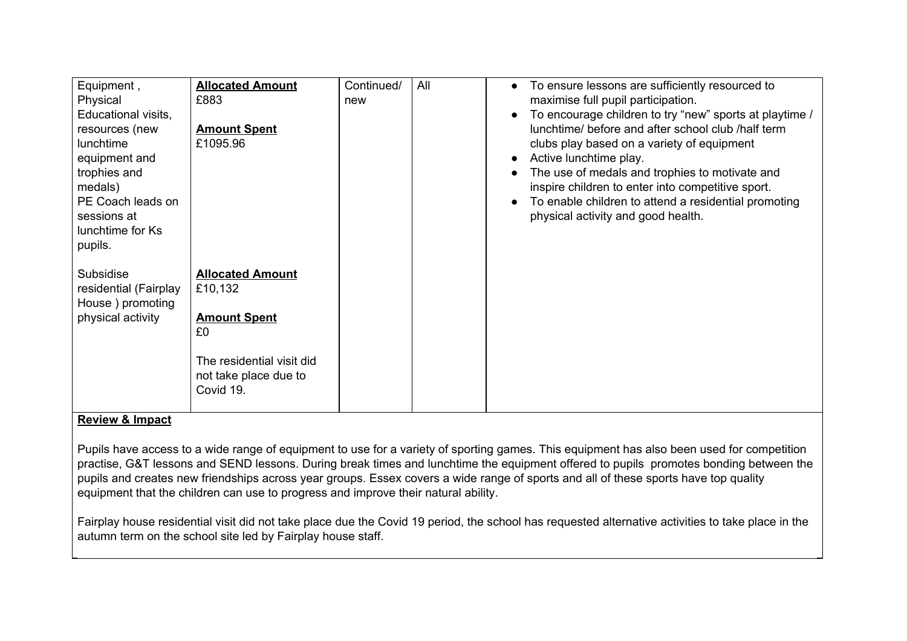| Equipment,<br>Physical<br>Educational visits,<br>resources (new<br>lunchtime<br>equipment and<br>trophies and<br>medals)<br>PE Coach leads on<br>sessions at<br>lunchtime for Ks<br>pupils. | <b>Allocated Amount</b><br>£883<br><b>Amount Spent</b><br>£1095.96                                                                 | Continued/<br>new | All | To ensure lessons are sufficiently resourced to<br>maximise full pupil participation.<br>To encourage children to try "new" sports at playtime /<br>lunchtime/ before and after school club /half term<br>clubs play based on a variety of equipment<br>Active lunchtime play.<br>The use of medals and trophies to motivate and<br>inspire children to enter into competitive sport.<br>To enable children to attend a residential promoting<br>physical activity and good health. |
|---------------------------------------------------------------------------------------------------------------------------------------------------------------------------------------------|------------------------------------------------------------------------------------------------------------------------------------|-------------------|-----|-------------------------------------------------------------------------------------------------------------------------------------------------------------------------------------------------------------------------------------------------------------------------------------------------------------------------------------------------------------------------------------------------------------------------------------------------------------------------------------|
| Subsidise<br>residential (Fairplay<br>House ) promoting<br>physical activity                                                                                                                | <b>Allocated Amount</b><br>£10,132<br><b>Amount Spent</b><br>£0<br>The residential visit did<br>not take place due to<br>Covid 19. |                   |     |                                                                                                                                                                                                                                                                                                                                                                                                                                                                                     |

Pupils have access to a wide range of equipment to use for a variety of sporting games. This equipment has also been used for competition practise, G&T lessons and SEND lessons. During break times and lunchtime the equipment offered to pupils promotes bonding between the pupils and creates new friendships across year groups. Essex covers a wide range of sports and all of these sports have top quality equipment that the children can use to progress and improve their natural ability.

Fairplay house residential visit did not take place due the Covid 19 period, the school has requested alternative activities to take place in the autumn term on the school site led by Fairplay house staff.